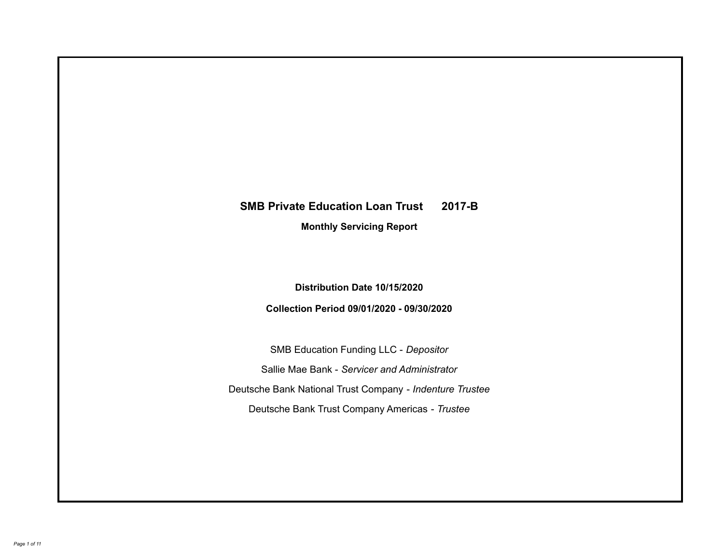# **SMB Private Education Loan Trust 2017-B Monthly Servicing Report**

**Distribution Date 10/15/2020**

**Collection Period 09/01/2020 - 09/30/2020**

SMB Education Funding LLC - *Depositor* Sallie Mae Bank - *Servicer and Administrator* Deutsche Bank National Trust Company - *Indenture Trustee* Deutsche Bank Trust Company Americas - *Trustee*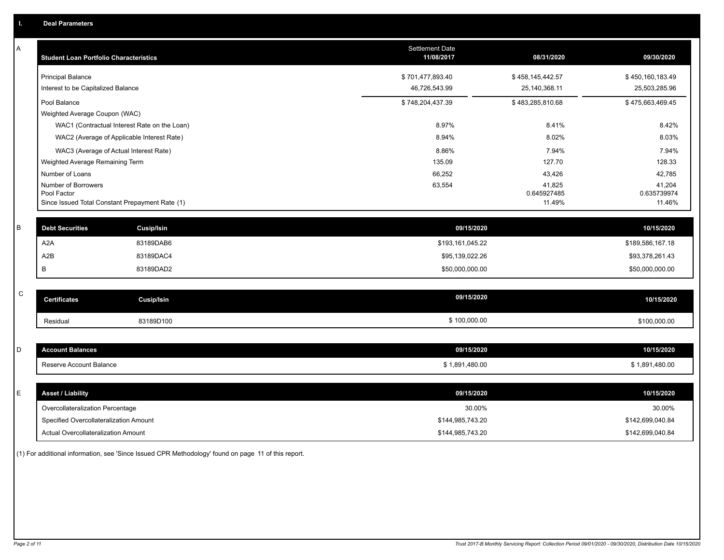| А           | <b>Student Loan Portfolio Characteristics</b>                  |                                              | <b>Settlement Date</b><br>11/08/2017 | 08/31/2020            | 09/30/2020            |
|-------------|----------------------------------------------------------------|----------------------------------------------|--------------------------------------|-----------------------|-----------------------|
|             | <b>Principal Balance</b>                                       |                                              | \$701,477,893.40                     | \$458,145,442.57      | \$450,160,183.49      |
|             | Interest to be Capitalized Balance                             |                                              | 46,726,543.99                        | 25,140,368.11         | 25,503,285.96         |
|             | Pool Balance                                                   |                                              | \$748,204,437.39                     | \$483,285,810.68      | \$475,663,469.45      |
|             | Weighted Average Coupon (WAC)                                  |                                              |                                      |                       |                       |
|             |                                                                | WAC1 (Contractual Interest Rate on the Loan) | 8.97%                                | 8.41%                 | 8.42%                 |
|             |                                                                | WAC2 (Average of Applicable Interest Rate)   | 8.94%                                | 8.02%                 | 8.03%                 |
|             | WAC3 (Average of Actual Interest Rate)                         |                                              | 8.86%                                | 7.94%                 | 7.94%                 |
|             | Weighted Average Remaining Term                                |                                              | 135.09                               | 127.70                | 128.33                |
|             | Number of Loans                                                |                                              | 66,252                               | 43,426                | 42,785                |
|             | Number of Borrowers                                            |                                              | 63,554                               | 41,825                | 41,204                |
|             | Pool Factor<br>Since Issued Total Constant Prepayment Rate (1) |                                              |                                      | 0.645927485<br>11.49% | 0.635739974<br>11.46% |
|             |                                                                |                                              |                                      |                       |                       |
| B           | <b>Debt Securities</b>                                         | <b>Cusip/Isin</b>                            | 09/15/2020                           |                       | 10/15/2020            |
|             | A <sub>2</sub> A                                               | 83189DAB6                                    | \$193,161,045.22                     |                       | \$189,586,167.18      |
|             | A <sub>2</sub> B                                               | 83189DAC4                                    | \$95,139,022.26                      |                       | \$93,378,261.43       |
|             | B                                                              | 83189DAD2                                    | \$50,000,000.00                      |                       | \$50,000,000.00       |
|             |                                                                |                                              |                                      |                       |                       |
| $\mathsf C$ | <b>Certificates</b>                                            | Cusip/Isin                                   | 09/15/2020                           |                       | 10/15/2020            |
|             | Residual                                                       | 83189D100                                    | \$100,000.00                         |                       | \$100,000.00          |
|             |                                                                |                                              |                                      |                       |                       |
| D           | <b>Account Balances</b>                                        |                                              | 09/15/2020                           |                       | 10/15/2020            |
|             | Reserve Account Balance                                        |                                              | \$1,891,480.00                       |                       | \$1,891,480.00        |
|             |                                                                |                                              |                                      |                       |                       |
| Е           | <b>Asset / Liability</b>                                       |                                              | 09/15/2020                           |                       | 10/15/2020            |
|             | Overcollateralization Percentage                               |                                              | 30.00%                               |                       | 30.00%                |
|             | Specified Overcollateralization Amount                         |                                              | \$144,985,743.20                     |                       | \$142,699,040.84      |
|             | Actual Overcollateralization Amount                            |                                              | \$144,985,743.20                     |                       | \$142,699,040.84      |

(1) For additional information, see 'Since Issued CPR Methodology' found on page 11 of this report.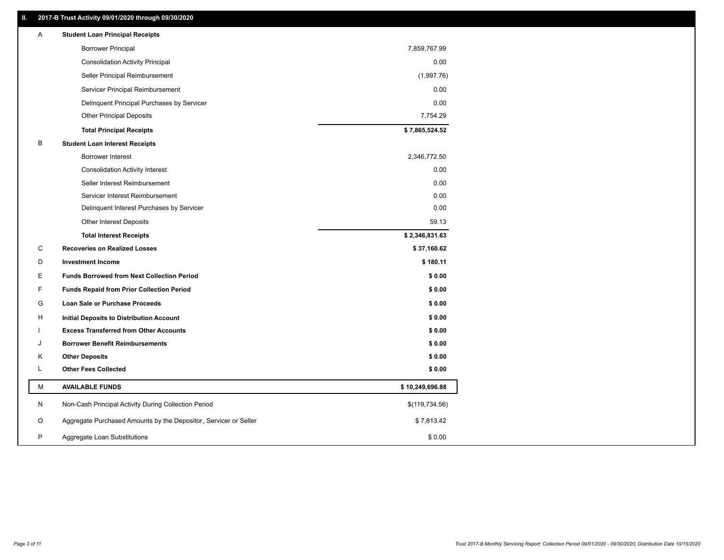### **II. 2017-B Trust Activity 09/01/2020 through 09/30/2020**

|    | <b>Borrower Principal</b>                                        | 7,859,767.99    |  |
|----|------------------------------------------------------------------|-----------------|--|
|    | <b>Consolidation Activity Principal</b>                          | 0.00            |  |
|    | Seller Principal Reimbursement                                   | (1,997.76)      |  |
|    | Servicer Principal Reimbursement                                 | 0.00            |  |
|    | Delinquent Principal Purchases by Servicer                       | 0.00            |  |
|    | <b>Other Principal Deposits</b>                                  | 7,754.29        |  |
|    | <b>Total Principal Receipts</b>                                  | \$7,865,524.52  |  |
| В  | <b>Student Loan Interest Receipts</b>                            |                 |  |
|    | <b>Borrower Interest</b>                                         | 2,346,772.50    |  |
|    | <b>Consolidation Activity Interest</b>                           | 0.00            |  |
|    | Seller Interest Reimbursement                                    | 0.00            |  |
|    | Servicer Interest Reimbursement                                  | 0.00            |  |
|    | Delinquent Interest Purchases by Servicer                        | 0.00            |  |
|    | <b>Other Interest Deposits</b>                                   | 59.13           |  |
|    | <b>Total Interest Receipts</b>                                   | \$2,346,831.63  |  |
| C  | <b>Recoveries on Realized Losses</b>                             | \$37,160.62     |  |
| D  | <b>Investment Income</b>                                         | \$180.11        |  |
| Е  | <b>Funds Borrowed from Next Collection Period</b>                | \$0.00          |  |
| F. | <b>Funds Repaid from Prior Collection Period</b>                 | \$0.00          |  |
| G  | Loan Sale or Purchase Proceeds                                   | \$0.00          |  |
| H  | Initial Deposits to Distribution Account                         | \$0.00          |  |
|    | <b>Excess Transferred from Other Accounts</b>                    | \$0.00          |  |
| J  | <b>Borrower Benefit Reimbursements</b>                           | \$0.00          |  |
| Κ  | <b>Other Deposits</b>                                            | \$0.00          |  |
| L  | <b>Other Fees Collected</b>                                      | \$0.00          |  |
| М  | <b>AVAILABLE FUNDS</b>                                           | \$10,249,696.88 |  |
| N  | Non-Cash Principal Activity During Collection Period             | \$(119,734.56)  |  |
| O  | Aggregate Purchased Amounts by the Depositor, Servicer or Seller | \$7,813.42      |  |
| P  | Aggregate Loan Substitutions                                     | \$0.00          |  |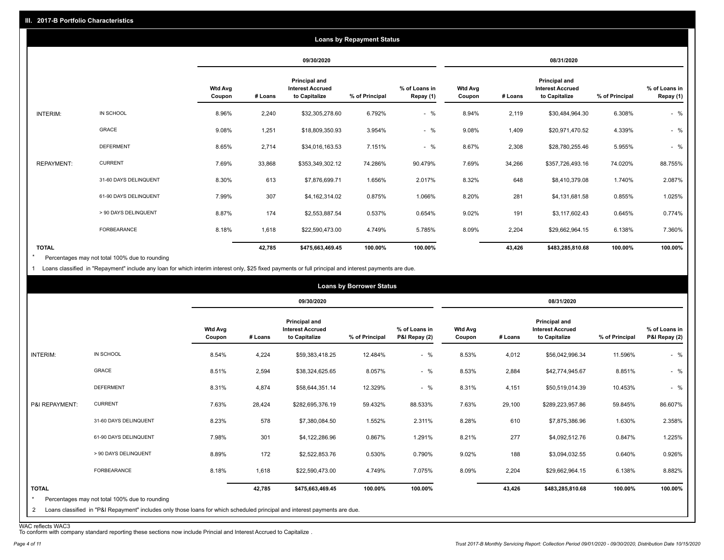|                   | <b>Loans by Repayment Status</b> |                          |         |                                                                  |                |                            |                          |         |                                                           |                |                            |
|-------------------|----------------------------------|--------------------------|---------|------------------------------------------------------------------|----------------|----------------------------|--------------------------|---------|-----------------------------------------------------------|----------------|----------------------------|
|                   |                                  |                          |         | 09/30/2020                                                       |                |                            |                          |         | 08/31/2020                                                |                |                            |
|                   |                                  | <b>Wtd Avg</b><br>Coupon | # Loans | <b>Principal and</b><br><b>Interest Accrued</b><br>to Capitalize | % of Principal | % of Loans in<br>Repay (1) | <b>Wtd Avg</b><br>Coupon | # Loans | Principal and<br><b>Interest Accrued</b><br>to Capitalize | % of Principal | % of Loans in<br>Repay (1) |
| INTERIM:          | IN SCHOOL                        | 8.96%                    | 2,240   | \$32,305,278.60                                                  | 6.792%         | $-$ %                      | 8.94%                    | 2,119   | \$30,484,964.30                                           | 6.308%         | $-$ %                      |
|                   | <b>GRACE</b>                     | 9.08%                    | 1,251   | \$18,809,350.93                                                  | 3.954%         | $-$ %                      | 9.08%                    | 1,409   | \$20,971,470.52                                           | 4.339%         | $-$ %                      |
|                   | <b>DEFERMENT</b>                 | 8.65%                    | 2,714   | \$34,016,163.53                                                  | 7.151%         | $-$ %                      | 8.67%                    | 2,308   | \$28,780,255.46                                           | 5.955%         | $-$ %                      |
| <b>REPAYMENT:</b> | <b>CURRENT</b>                   | 7.69%                    | 33,868  | \$353,349,302.12                                                 | 74.286%        | 90.479%                    | 7.69%                    | 34,266  | \$357,726,493.16                                          | 74.020%        | 88.755%                    |
|                   | 31-60 DAYS DELINQUENT            | 8.30%                    | 613     | \$7,876,699.71                                                   | 1.656%         | 2.017%                     | 8.32%                    | 648     | \$8,410,379.08                                            | 1.740%         | 2.087%                     |
|                   | 61-90 DAYS DELINQUENT            | 7.99%                    | 307     | \$4,162,314.02                                                   | 0.875%         | 1.066%                     | 8.20%                    | 281     | \$4,131,681.58                                            | 0.855%         | 1.025%                     |
|                   | > 90 DAYS DELINQUENT             | 8.87%                    | 174     | \$2,553,887.54                                                   | 0.537%         | 0.654%                     | 9.02%                    | 191     | \$3,117,602.43                                            | 0.645%         | 0.774%                     |
|                   | FORBEARANCE                      | 8.18%                    | 1,618   | \$22,590,473.00                                                  | 4.749%         | 5.785%                     | 8.09%                    | 2,204   | \$29,662,964.15                                           | 6.138%         | 7.360%                     |
| <b>TOTAL</b>      |                                  |                          | 42,785  | \$475,663,469.45                                                 | 100.00%        | 100.00%                    |                          | 43,426  | \$483,285,810.68                                          | 100.00%        | 100.00%                    |

Percentages may not total 100% due to rounding \*

1 Loans classified in "Repayment" include any loan for which interim interest only, \$25 fixed payments or full principal and interest payments are due.

|                         |                                                                                                                            |                          |         |                                                           | <b>Loans by Borrower Status</b> |                                |                          |         |                                                           |                |                                |
|-------------------------|----------------------------------------------------------------------------------------------------------------------------|--------------------------|---------|-----------------------------------------------------------|---------------------------------|--------------------------------|--------------------------|---------|-----------------------------------------------------------|----------------|--------------------------------|
|                         |                                                                                                                            |                          |         | 09/30/2020                                                |                                 |                                |                          |         | 08/31/2020                                                |                |                                |
|                         |                                                                                                                            | <b>Wtd Avg</b><br>Coupon | # Loans | Principal and<br><b>Interest Accrued</b><br>to Capitalize | % of Principal                  | % of Loans in<br>P&I Repay (2) | <b>Wtd Avg</b><br>Coupon | # Loans | Principal and<br><b>Interest Accrued</b><br>to Capitalize | % of Principal | % of Loans in<br>P&I Repay (2) |
| INTERIM:                | IN SCHOOL                                                                                                                  | 8.54%                    | 4,224   | \$59,383,418.25                                           | 12.484%                         | $-$ %                          | 8.53%                    | 4,012   | \$56,042,996.34                                           | 11.596%        | $-$ %                          |
|                         | GRACE                                                                                                                      | 8.51%                    | 2,594   | \$38,324,625.65                                           | 8.057%                          | $-$ %                          | 8.53%                    | 2,884   | \$42,774,945.67                                           | 8.851%         | $-$ %                          |
|                         | <b>DEFERMENT</b>                                                                                                           | 8.31%                    | 4,874   | \$58,644,351.14                                           | 12.329%                         | $-$ %                          | 8.31%                    | 4,151   | \$50,519,014.39                                           | 10.453%        | $-$ %                          |
| P&I REPAYMENT:          | <b>CURRENT</b>                                                                                                             | 7.63%                    | 28,424  | \$282,695,376.19                                          | 59.432%                         | 88.533%                        | 7.63%                    | 29,100  | \$289,223,957.86                                          | 59.845%        | 86.607%                        |
|                         | 31-60 DAYS DELINQUENT                                                                                                      | 8.23%                    | 578     | \$7,380,084.50                                            | 1.552%                          | 2.311%                         | 8.28%                    | 610     | \$7,875,386.96                                            | 1.630%         | 2.358%                         |
|                         | 61-90 DAYS DELINQUENT                                                                                                      | 7.98%                    | 301     | \$4,122,286.96                                            | 0.867%                          | 1.291%                         | 8.21%                    | 277     | \$4,092,512.76                                            | 0.847%         | 1.225%                         |
|                         | > 90 DAYS DELINQUENT                                                                                                       | 8.89%                    | 172     | \$2,522,853.76                                            | 0.530%                          | 0.790%                         | 9.02%                    | 188     | \$3,094,032.55                                            | 0.640%         | 0.926%                         |
|                         | FORBEARANCE                                                                                                                | 8.18%                    | 1,618   | \$22,590,473.00                                           | 4.749%                          | 7.075%                         | 8.09%                    | 2,204   | \$29,662,964.15                                           | 6.138%         | 8.882%                         |
| <b>TOTAL</b><br>$\star$ | Percentages may not total 100% due to rounding                                                                             |                          | 42,785  | \$475,663,469.45                                          | 100.00%                         | 100.00%                        |                          | 43,426  | \$483,285,810.68                                          | 100.00%        | 100.00%                        |
| 2                       | Loans classified in "P&I Repayment" includes only those loans for which scheduled principal and interest payments are due. |                          |         |                                                           |                                 |                                |                          |         |                                                           |                |                                |

WAC reflects WAC3 To conform with company standard reporting these sections now include Princial and Interest Accrued to Capitalize .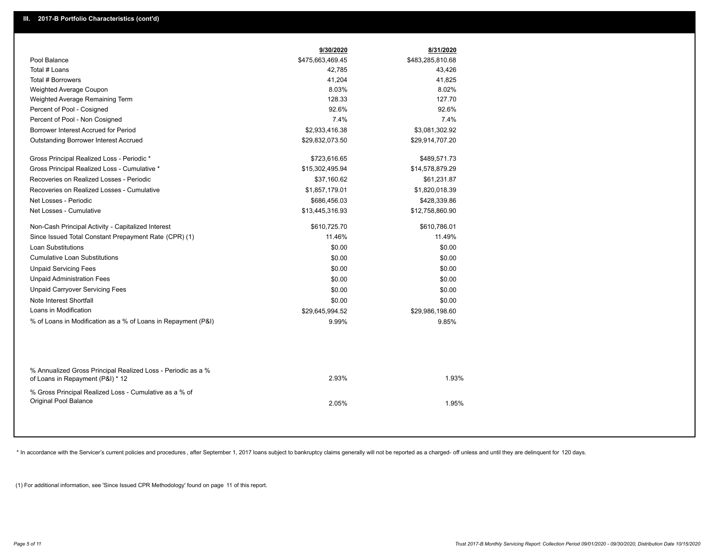|                                                               | 9/30/2020        | 8/31/2020        |
|---------------------------------------------------------------|------------------|------------------|
| Pool Balance                                                  | \$475,663,469.45 | \$483,285,810.68 |
| Total # Loans                                                 | 42,785           | 43,426           |
| Total # Borrowers                                             | 41,204           | 41,825           |
| Weighted Average Coupon                                       | 8.03%            | 8.02%            |
| Weighted Average Remaining Term                               | 128.33           | 127.70           |
| Percent of Pool - Cosigned                                    | 92.6%            | 92.6%            |
| Percent of Pool - Non Cosigned                                | 7.4%             | 7.4%             |
| Borrower Interest Accrued for Period                          | \$2,933,416.38   | \$3,081,302.92   |
| <b>Outstanding Borrower Interest Accrued</b>                  | \$29,832,073.50  | \$29,914,707.20  |
| Gross Principal Realized Loss - Periodic *                    | \$723,616.65     | \$489,571.73     |
| Gross Principal Realized Loss - Cumulative *                  | \$15,302,495.94  | \$14,578,879.29  |
| Recoveries on Realized Losses - Periodic                      | \$37,160.62      | \$61,231.87      |
| Recoveries on Realized Losses - Cumulative                    | \$1,857,179.01   | \$1,820,018.39   |
| Net Losses - Periodic                                         | \$686,456.03     | \$428,339.86     |
| Net Losses - Cumulative                                       | \$13,445,316.93  | \$12,758,860.90  |
| Non-Cash Principal Activity - Capitalized Interest            | \$610,725.70     | \$610,786.01     |
| Since Issued Total Constant Prepayment Rate (CPR) (1)         | 11.46%           | 11.49%           |
| Loan Substitutions                                            | \$0.00           | \$0.00           |
| <b>Cumulative Loan Substitutions</b>                          | \$0.00           | \$0.00           |
| <b>Unpaid Servicing Fees</b>                                  | \$0.00           | \$0.00           |
| <b>Unpaid Administration Fees</b>                             | \$0.00           | \$0.00           |
| <b>Unpaid Carryover Servicing Fees</b>                        | \$0.00           | \$0.00           |
| Note Interest Shortfall                                       | \$0.00           | \$0.00           |
| Loans in Modification                                         | \$29,645,994.52  | \$29,986,198.60  |
| % of Loans in Modification as a % of Loans in Repayment (P&I) | 9.99%            | 9.85%            |
|                                                               |                  |                  |
| % Annualized Gross Principal Realized Loss - Periodic as a %  |                  |                  |
| of Loans in Repayment (P&I) * 12                              | 2.93%            | 1.93%            |
| % Gross Principal Realized Loss - Cumulative as a % of        |                  |                  |
| Original Pool Balance                                         | 2.05%            | 1.95%            |

\* In accordance with the Servicer's current policies and procedures, after September 1, 2017 loans subject to bankruptcy claims generally will not be reported as a charged- off unless and until they are delinquent for 120

(1) For additional information, see 'Since Issued CPR Methodology' found on page 11 of this report.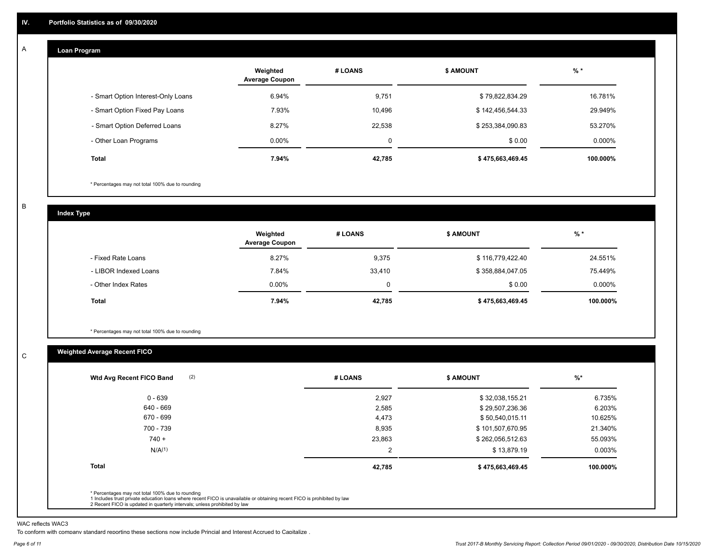#### **Loan Program**  A

|                                    | Weighted<br><b>Average Coupon</b> | # LOANS | <b>\$ AMOUNT</b> | $%$ *    |
|------------------------------------|-----------------------------------|---------|------------------|----------|
| - Smart Option Interest-Only Loans | 6.94%                             | 9,751   | \$79,822,834.29  | 16.781%  |
| - Smart Option Fixed Pay Loans     | 7.93%                             | 10,496  | \$142,456,544.33 | 29.949%  |
| - Smart Option Deferred Loans      | 8.27%                             | 22,538  | \$253,384,090.83 | 53.270%  |
| - Other Loan Programs              | $0.00\%$                          | 0       | \$0.00           | 0.000%   |
| <b>Total</b>                       | 7.94%                             | 42,785  | \$475,663,469.45 | 100.000% |

\* Percentages may not total 100% due to rounding

B

C

**Index Type**

|                       | Weighted<br><b>Average Coupon</b> | # LOANS  | <b>\$ AMOUNT</b> | $%$ *     |
|-----------------------|-----------------------------------|----------|------------------|-----------|
| - Fixed Rate Loans    | 8.27%                             | 9,375    | \$116,779,422.40 | 24.551%   |
| - LIBOR Indexed Loans | 7.84%                             | 33,410   | \$358,884,047.05 | 75.449%   |
| - Other Index Rates   | $0.00\%$                          | $\Omega$ | \$0.00           | $0.000\%$ |
| <b>Total</b>          | 7.94%                             | 42,785   | \$475,663,469.45 | 100.000%  |

\* Percentages may not total 100% due to rounding

## **Weighted Average Recent FICO**

| 2,927<br>2,585<br>4,473<br>8,935 | \$32,038,155.21<br>\$29,507,236.36<br>\$50,540,015.11<br>\$101,507,670.95 | 6.735%<br>6.203%<br>10.625% |
|----------------------------------|---------------------------------------------------------------------------|-----------------------------|
|                                  |                                                                           |                             |
|                                  |                                                                           |                             |
|                                  |                                                                           |                             |
|                                  |                                                                           | 21.340%                     |
| 23,863                           | \$262,056,512.63                                                          | 55.093%                     |
| $\overline{2}$                   | \$13,879.19                                                               | $0.003\%$                   |
|                                  | \$475,663,469.45                                                          | 100.000%                    |
|                                  | 42,785                                                                    |                             |

WAC reflects WAC3

To conform with company standard reporting these sections now include Princial and Interest Accrued to Capitalize .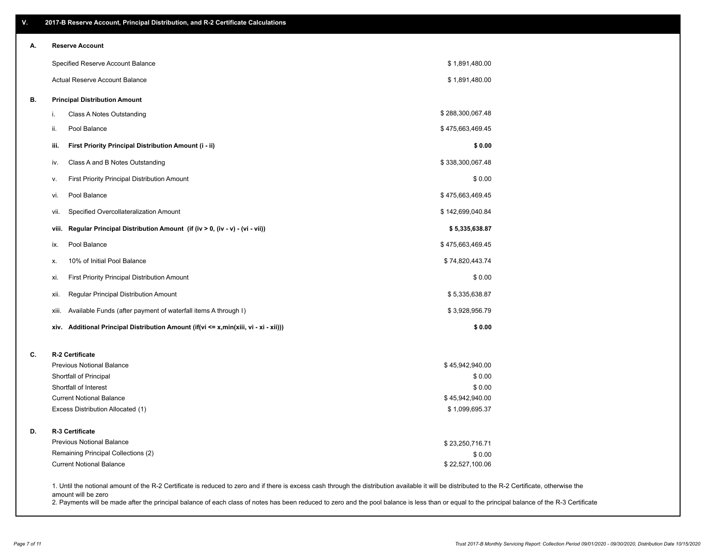| V. | 2017-B Reserve Account, Principal Distribution, and R-2 Certificate Calculations     |                                                                                                                                                                                                    |
|----|--------------------------------------------------------------------------------------|----------------------------------------------------------------------------------------------------------------------------------------------------------------------------------------------------|
| А. | <b>Reserve Account</b>                                                               |                                                                                                                                                                                                    |
|    | Specified Reserve Account Balance                                                    | \$1,891,480.00                                                                                                                                                                                     |
|    | Actual Reserve Account Balance                                                       | \$1,891,480.00                                                                                                                                                                                     |
| В. | <b>Principal Distribution Amount</b>                                                 |                                                                                                                                                                                                    |
|    | Class A Notes Outstanding<br>i.                                                      | \$288,300,067.48                                                                                                                                                                                   |
|    | Pool Balance<br>ii.                                                                  | \$475,663,469.45                                                                                                                                                                                   |
|    | First Priority Principal Distribution Amount (i - ii)<br>iii.                        | \$0.00                                                                                                                                                                                             |
|    | Class A and B Notes Outstanding<br>iv.                                               | \$338,300,067.48                                                                                                                                                                                   |
|    | First Priority Principal Distribution Amount<br>۷.                                   | \$0.00                                                                                                                                                                                             |
|    | Pool Balance<br>vi.                                                                  | \$475,663,469.45                                                                                                                                                                                   |
|    | Specified Overcollateralization Amount<br>vii.                                       | \$142,699,040.84                                                                                                                                                                                   |
|    | Regular Principal Distribution Amount (if (iv > 0, (iv - v) - (vi - vii))<br>viii.   | \$5,335,638.87                                                                                                                                                                                     |
|    | Pool Balance<br>ix.                                                                  | \$475,663,469.45                                                                                                                                                                                   |
|    | 10% of Initial Pool Balance<br>Х.                                                    | \$74,820,443.74                                                                                                                                                                                    |
|    | <b>First Priority Principal Distribution Amount</b><br>xi.                           | \$0.00                                                                                                                                                                                             |
|    | xii.<br>Regular Principal Distribution Amount                                        | \$5,335,638.87                                                                                                                                                                                     |
|    | Available Funds (after payment of waterfall items A through I)<br>xiii.              | \$3,928,956.79                                                                                                                                                                                     |
|    | xiv. Additional Principal Distribution Amount (if(vi <= x,min(xiii, vi - xi - xii))) | \$0.00                                                                                                                                                                                             |
| C. | R-2 Certificate                                                                      |                                                                                                                                                                                                    |
|    | <b>Previous Notional Balance</b>                                                     | \$45,942,940.00                                                                                                                                                                                    |
|    | Shortfall of Principal                                                               | \$0.00                                                                                                                                                                                             |
|    | Shortfall of Interest                                                                | \$0.00                                                                                                                                                                                             |
|    | <b>Current Notional Balance</b><br>Excess Distribution Allocated (1)                 | \$45,942,940.00<br>\$1,099,695.37                                                                                                                                                                  |
|    |                                                                                      |                                                                                                                                                                                                    |
| D. | R-3 Certificate                                                                      |                                                                                                                                                                                                    |
|    | <b>Previous Notional Balance</b>                                                     | \$23,250,716.71                                                                                                                                                                                    |
|    | Remaining Principal Collections (2)                                                  | \$0.00                                                                                                                                                                                             |
|    | <b>Current Notional Balance</b>                                                      | \$22,527,100.06                                                                                                                                                                                    |
|    |                                                                                      | 1. Until the notional amount of the R-2 Certificate is reduced to zero and if there is excess cash through the distribution available it will be distributed to the R-2 Certificate, otherwise the |

amount will be zero

2. Payments will be made after the principal balance of each class of notes has been reduced to zero and the pool balance is less than or equal to the principal balance of the R-3 Certificate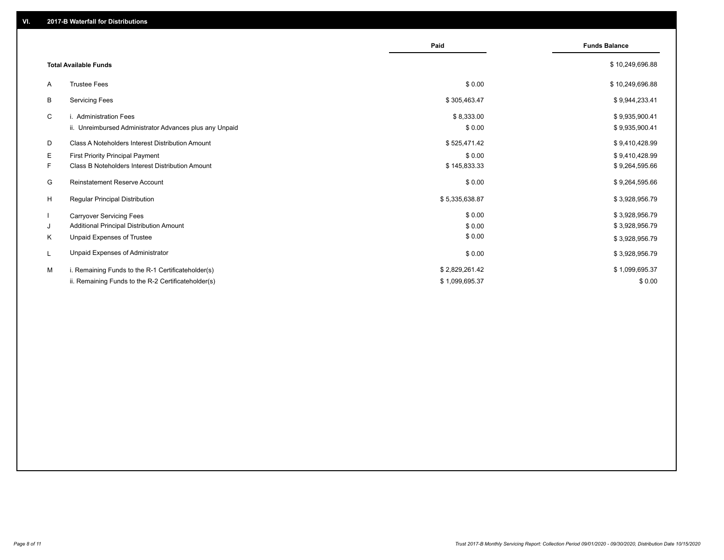|    |                                                         | Paid           | <b>Funds Balance</b> |
|----|---------------------------------------------------------|----------------|----------------------|
|    | <b>Total Available Funds</b>                            |                | \$10,249,696.88      |
| A  | <b>Trustee Fees</b>                                     | \$0.00         | \$10,249,696.88      |
| В  | <b>Servicing Fees</b>                                   | \$305,463.47   | \$9,944,233.41       |
| C  | i. Administration Fees                                  | \$8,333.00     | \$9,935,900.41       |
|    | ii. Unreimbursed Administrator Advances plus any Unpaid | \$0.00         | \$9,935,900.41       |
| D  | Class A Noteholders Interest Distribution Amount        | \$525,471.42   | \$9,410,428.99       |
| E. | <b>First Priority Principal Payment</b>                 | \$0.00         | \$9,410,428.99       |
| F. | <b>Class B Noteholders Interest Distribution Amount</b> | \$145,833.33   | \$9,264,595.66       |
| G  | <b>Reinstatement Reserve Account</b>                    | \$0.00         | \$9,264,595.66       |
| H  | Regular Principal Distribution                          | \$5,335,638.87 | \$3,928,956.79       |
|    | <b>Carryover Servicing Fees</b>                         | \$0.00         | \$3,928,956.79       |
| J  | Additional Principal Distribution Amount                | \$0.00         | \$3,928,956.79       |
| Κ  | Unpaid Expenses of Trustee                              | \$0.00         | \$3,928,956.79       |
| L  | Unpaid Expenses of Administrator                        | \$0.00         | \$3,928,956.79       |
| м  | i. Remaining Funds to the R-1 Certificateholder(s)      | \$2,829,261.42 | \$1,099,695.37       |
|    | ii. Remaining Funds to the R-2 Certificateholder(s)     | \$1,099,695.37 | \$0.00               |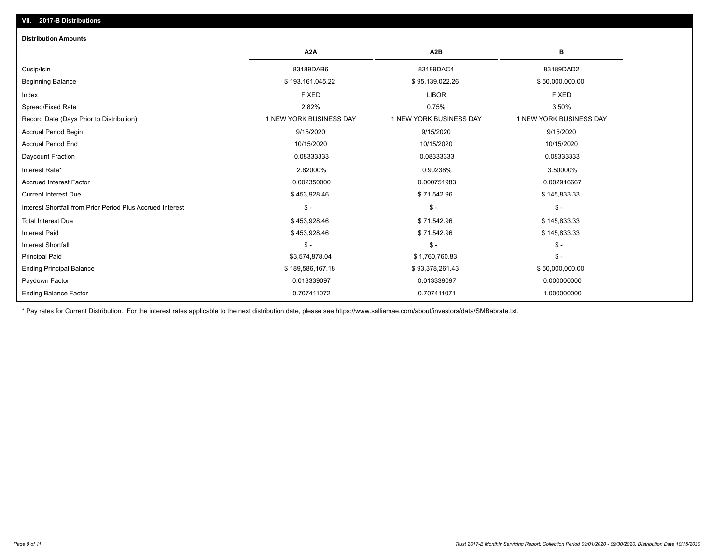| <b>Distribution Amounts</b>                                |                         |                         |                         |
|------------------------------------------------------------|-------------------------|-------------------------|-------------------------|
|                                                            | A <sub>2</sub> A        | A2B                     | в                       |
| Cusip/Isin                                                 | 83189DAB6               | 83189DAC4               | 83189DAD2               |
| <b>Beginning Balance</b>                                   | \$193,161,045.22        | \$95,139,022.26         | \$50,000,000.00         |
| Index                                                      | <b>FIXED</b>            | <b>LIBOR</b>            | <b>FIXED</b>            |
| Spread/Fixed Rate                                          | 2.82%                   | 0.75%                   | 3.50%                   |
| Record Date (Days Prior to Distribution)                   | 1 NEW YORK BUSINESS DAY | 1 NEW YORK BUSINESS DAY | 1 NEW YORK BUSINESS DAY |
| Accrual Period Begin                                       | 9/15/2020               | 9/15/2020               | 9/15/2020               |
| <b>Accrual Period End</b>                                  | 10/15/2020              | 10/15/2020              | 10/15/2020              |
| Daycount Fraction                                          | 0.08333333              | 0.08333333              | 0.08333333              |
| Interest Rate*                                             | 2.82000%                | 0.90238%                | 3.50000%                |
| <b>Accrued Interest Factor</b>                             | 0.002350000             | 0.000751983             | 0.002916667             |
| <b>Current Interest Due</b>                                | \$453,928.46            | \$71,542.96             | \$145,833.33            |
| Interest Shortfall from Prior Period Plus Accrued Interest | $\frac{1}{2}$           | $\mathsf{\$}$ -         | $$ -$                   |
| <b>Total Interest Due</b>                                  | \$453,928.46            | \$71,542.96             | \$145,833.33            |
| <b>Interest Paid</b>                                       | \$453,928.46            | \$71,542.96             | \$145,833.33            |
| <b>Interest Shortfall</b>                                  | $\frac{2}{3}$ -         | $$ -$                   | $$ -$                   |
| <b>Principal Paid</b>                                      | \$3,574,878.04          | \$1,760,760.83          | $$ -$                   |
| <b>Ending Principal Balance</b>                            | \$189,586,167.18        | \$93,378,261.43         | \$50,000,000.00         |
| Paydown Factor                                             | 0.013339097             | 0.013339097             | 0.000000000             |
| <b>Ending Balance Factor</b>                               | 0.707411072             | 0.707411071             | 1.000000000             |

\* Pay rates for Current Distribution. For the interest rates applicable to the next distribution date, please see https://www.salliemae.com/about/investors/data/SMBabrate.txt.

**VII. 2017-B Distributions**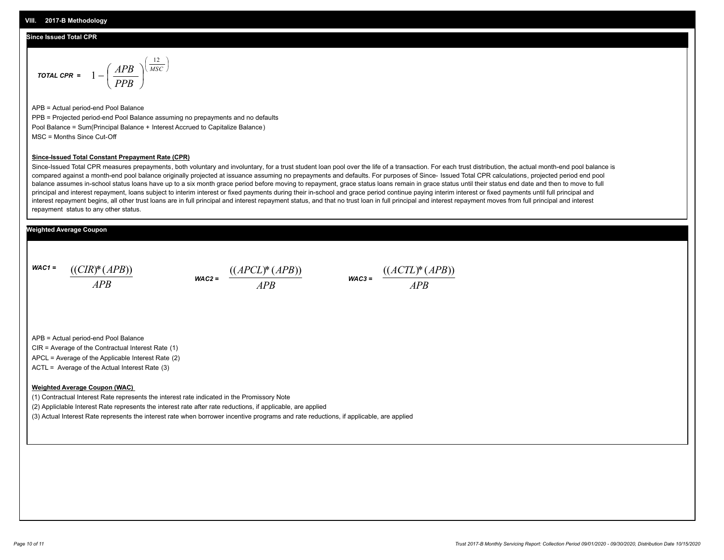#### **Since Issued Total CPR**

$$
\text{total CPR} = 1 - \left(\frac{APB}{PPB}\right)^{\left(\frac{12}{MSC}\right)}
$$

APB = Actual period-end Pool Balance PPB = Projected period-end Pool Balance assuming no prepayments and no defaults Pool Balance = Sum(Principal Balance + Interest Accrued to Capitalize Balance) MSC = Months Since Cut-Off

#### **Since-Issued Total Constant Prepayment Rate (CPR)**

Since-Issued Total CPR measures prepayments, both voluntary and involuntary, for a trust student loan pool over the life of a transaction. For each trust distribution, the actual month-end pool balance is compared against a month-end pool balance originally projected at issuance assuming no prepayments and defaults. For purposes of Since- Issued Total CPR calculations, projected period end pool balance assumes in-school status loans have up to a six month grace period before moving to repayment, grace status loans remain in grace status until their status end date and then to move to full principal and interest repayment, loans subject to interim interest or fixed payments during their in-school and grace period continue paying interim interest or fixed payments until full principal and interest repayment begins, all other trust loans are in full principal and interest repayment status, and that no trust loan in full principal and interest repayment moves from full principal and interest repayment status to any other status.

#### **Weighted Average Coupon**

*WAC1 = APB* ((*CIR*)\*(*APB*))





APB = Actual period-end Pool Balance

CIR = Average of the Contractual Interest Rate (1)

APCL = Average of the Applicable Interest Rate (2)

ACTL = Average of the Actual Interest Rate (3)

#### **Weighted Average Coupon (WAC)**

(1) Contractual Interest Rate represents the interest rate indicated in the Promissory Note

(2) Appliclable Interest Rate represents the interest rate after rate reductions, if applicable, are applied

(3) Actual Interest Rate represents the interest rate when borrower incentive programs and rate reductions, if applicable, are applied